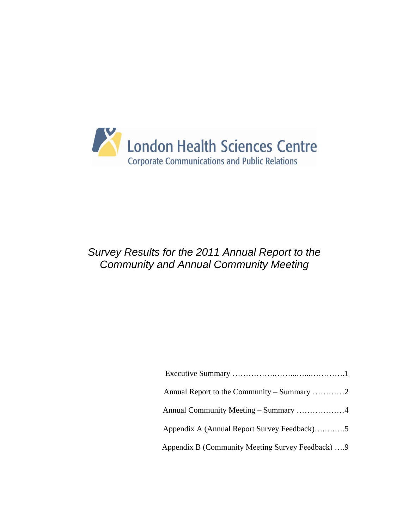

# *Survey Results for the 2011 Annual Report to the Community and Annual Community Meeting*

| Annual Community Meeting – Summary 4              |
|---------------------------------------------------|
| Appendix A (Annual Report Survey Feedback)5       |
| Appendix B (Community Meeting Survey Feedback)  9 |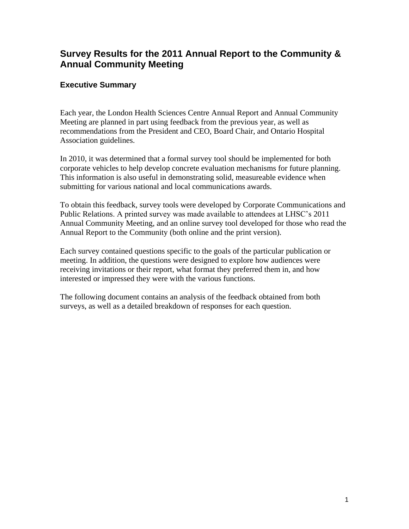# **Survey Results for the 2011 Annual Report to the Community & Annual Community Meeting**

## **Executive Summary**

Each year, the London Health Sciences Centre Annual Report and Annual Community Meeting are planned in part using feedback from the previous year, as well as recommendations from the President and CEO, Board Chair, and Ontario Hospital Association guidelines.

In 2010, it was determined that a formal survey tool should be implemented for both corporate vehicles to help develop concrete evaluation mechanisms for future planning. This information is also useful in demonstrating solid, measureable evidence when submitting for various national and local communications awards.

To obtain this feedback, survey tools were developed by Corporate Communications and Public Relations. A printed survey was made available to attendees at LHSC"s 2011 Annual Community Meeting, and an online survey tool developed for those who read the Annual Report to the Community (both online and the print version).

Each survey contained questions specific to the goals of the particular publication or meeting. In addition, the questions were designed to explore how audiences were receiving invitations or their report, what format they preferred them in, and how interested or impressed they were with the various functions.

The following document contains an analysis of the feedback obtained from both surveys, as well as a detailed breakdown of responses for each question.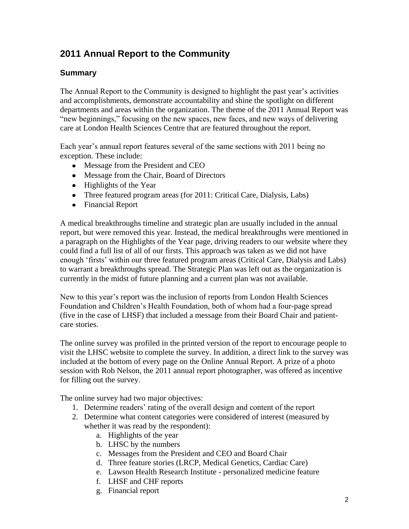# **2011 Annual Report to the Community**

## **Summary**

The Annual Report to the Community is designed to highlight the past year's activities and accomplishments, demonstrate accountability and shine the spotlight on different departments and areas within the organization. The theme of the 2011 Annual Report was "new beginnings," focusing on the new spaces, new faces, and new ways of delivering care at London Health Sciences Centre that are featured throughout the report.

Each year's annual report features several of the same sections with 2011 being no exception. These include:

- Message from the President and CEO
- Message from the Chair, Board of Directors
- $\bullet$  Highlights of the Year
- Three featured program areas (for 2011: Critical Care, Dialysis, Labs)
- Financial Report

A medical breakthroughs timeline and strategic plan are usually included in the annual report, but were removed this year. Instead, the medical breakthroughs were mentioned in a paragraph on the Highlights of the Year page, driving readers to our website where they could find a full list of all of our firsts. This approach was taken as we did not have enough 'firsts' within our three featured program areas (Critical Care, Dialysis and Labs) to warrant a breakthroughs spread. The Strategic Plan was left out as the organization is currently in the midst of future planning and a current plan was not available.

New to this year"s report was the inclusion of reports from London Health Sciences Foundation and Children"s Health Foundation, both of whom had a four-page spread (five in the case of LHSF) that included a message from their Board Chair and patientcare stories.

The online survey was profiled in the printed version of the report to encourage people to visit the LHSC website to complete the survey. In addition, a direct link to the survey was included at the bottom of every page on the Online Annual Report. A prize of a photo session with Rob Nelson, the 2011 annual report photographer, was offered as incentive for filling out the survey.

The online survey had two major objectives:

- 1. Determine readers' rating of the overall design and content of the report
- 2. Determine what content categories were considered of interest (measured by whether it was read by the respondent):
	- a. Highlights of the year
	- b. LHSC by the numbers
	- c. Messages from the President and CEO and Board Chair
	- d. Three feature stories (LRCP, Medical Genetics, Cardiac Care)
	- e. Lawson Health Research Institute personalized medicine feature
	- f. LHSF and CHF reports
	- g. Financial report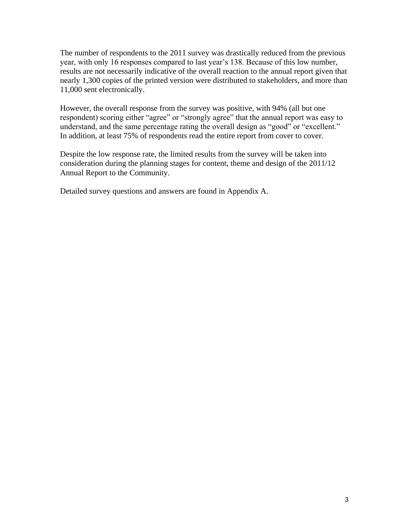The number of respondents to the 2011 survey was drastically reduced from the previous year, with only 16 responses compared to last year's 138. Because of this low number, results are not necessarily indicative of the overall reaction to the annual report given that nearly 1,300 copies of the printed version were distributed to stakeholders, and more than 11,000 sent electronically.

However, the overall response from the survey was positive, with 94% (all but one respondent) scoring either "agree" or "strongly agree" that the annual report was easy to understand, and the same percentage rating the overall design as "good" or "excellent." In addition, at least 75% of respondents read the entire report from cover to cover.

Despite the low response rate, the limited results from the survey will be taken into consideration during the planning stages for content, theme and design of the 2011/12 Annual Report to the Community.

Detailed survey questions and answers are found in Appendix A.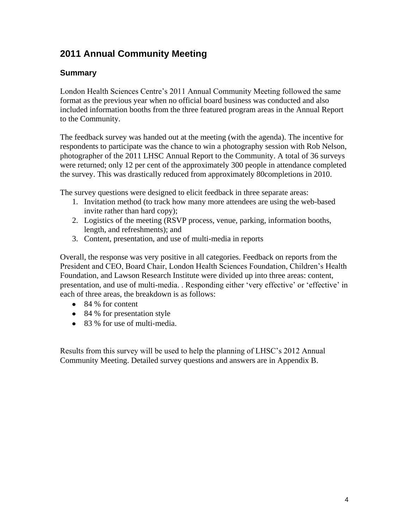# **2011 Annual Community Meeting**

## **Summary**

London Health Sciences Centre's 2011 Annual Community Meeting followed the same format as the previous year when no official board business was conducted and also included information booths from the three featured program areas in the Annual Report to the Community.

The feedback survey was handed out at the meeting (with the agenda). The incentive for respondents to participate was the chance to win a photography session with Rob Nelson, photographer of the 2011 LHSC Annual Report to the Community. A total of 36 surveys were returned; only 12 per cent of the approximately 300 people in attendance completed the survey. This was drastically reduced from approximately 80completions in 2010.

The survey questions were designed to elicit feedback in three separate areas:

- 1. Invitation method (to track how many more attendees are using the web-based invite rather than hard copy);
- 2. Logistics of the meeting (RSVP process, venue, parking, information booths, length, and refreshments); and
- 3. Content, presentation, and use of multi-media in reports

Overall, the response was very positive in all categories. Feedback on reports from the President and CEO, Board Chair, London Health Sciences Foundation, Children"s Health Foundation, and Lawson Research Institute were divided up into three areas: content, presentation, and use of multi-media. . Responding either "very effective" or "effective" in each of three areas, the breakdown is as follows:

- 84 % for content
- 84 % for presentation style
- 83 % for use of multi-media.

Results from this survey will be used to help the planning of LHSC"s 2012 Annual Community Meeting. Detailed survey questions and answers are in Appendix B.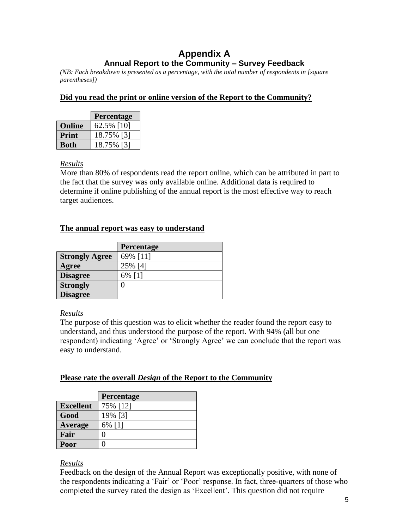## **Appendix A Annual Report to the Community – Survey Feedback**

*(NB: Each breakdown is presented as a percentage, with the total number of respondents in [square parentheses])*

## **Did you read the print or online version of the Report to the Community?**

|               | <b>Percentage</b> |
|---------------|-------------------|
| <b>Online</b> | 62.5% [10]        |
| <b>Print</b>  | 18.75% [3]        |
| <b>Both</b>   | 18.75% [3]        |

## *Results*

More than 80% of respondents read the report online, which can be attributed in part to the fact that the survey was only available online. Additional data is required to determine if online publishing of the annual report is the most effective way to reach target audiences.

## **The annual report was easy to understand**

|                       | Percentage |
|-----------------------|------------|
| <b>Strongly Agree</b> | 69% [11]   |
| Agree                 | 25% [4]    |
| <b>Disagree</b>       | 6% [1]     |
| <b>Strongly</b>       |            |
| <b>Disagree</b>       |            |

## *Results*

The purpose of this question was to elicit whether the reader found the report easy to understand, and thus understood the purpose of the report. With 94% (all but one respondent) indicating 'Agree' or 'Strongly Agree' we can conclude that the report was easy to understand.

## **Please rate the overall** *Design* **of the Report to the Community**

|                  | Percentage |
|------------------|------------|
| <b>Excellent</b> | 75% [12]   |
| Good             | 19% [3]    |
| Average          | 6% [1]     |
| Fair             |            |
| Poor             |            |

## *Results*

Feedback on the design of the Annual Report was exceptionally positive, with none of the respondents indicating a "Fair" or "Poor" response. In fact, three-quarters of those who completed the survey rated the design as "Excellent". This question did not require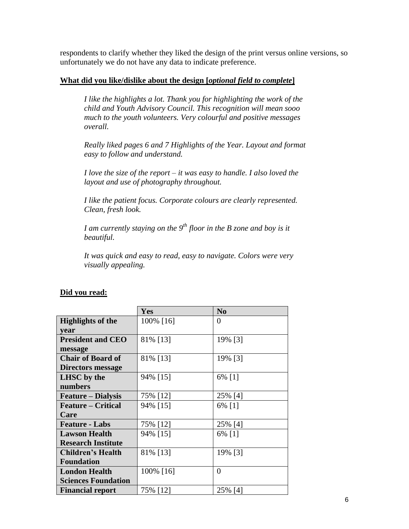respondents to clarify whether they liked the design of the print versus online versions, so unfortunately we do not have any data to indicate preference.

#### **What did you like/dislike about the design [***optional field to complete***]**

*I like the highlights a lot. Thank you for highlighting the work of the child and Youth Advisory Council. This recognition will mean sooo much to the youth volunteers. Very colourful and positive messages overall.*

*Really liked pages 6 and 7 Highlights of the Year. Layout and format easy to follow and understand.*

*I love the size of the report – it was easy to handle. I also loved the layout and use of photography throughout.*

*I like the patient focus. Corporate colours are clearly represented. Clean, fresh look.*

*I am currently staying on the 9th floor in the B zone and boy is it beautiful.*

*It was quick and easy to read, easy to navigate. Colors were very visually appealing.*

| Did vou read: |
|---------------|
|---------------|

|                            | Yes       | N <sub>0</sub> |
|----------------------------|-----------|----------------|
| <b>Highlights of the</b>   | 100% [16] | $\theta$       |
| vear                       |           |                |
| <b>President and CEO</b>   | 81% [13]  | 19% [3]        |
| message                    |           |                |
| <b>Chair of Board of</b>   | 81% [13]  | 19% [3]        |
| <b>Directors message</b>   |           |                |
| <b>LHSC</b> by the         | 94% [15]  | 6% [1]         |
| numbers                    |           |                |
| <b>Feature</b> – Dialysis  | 75% [12]  | 25% [4]        |
| <b>Feature – Critical</b>  | 94% [15]  | 6% [1]         |
| Care                       |           |                |
| <b>Feature - Labs</b>      | 75% [12]  | 25% [4]        |
| <b>Lawson Health</b>       | 94% [15]  | 6% [1]         |
| <b>Research Institute</b>  |           |                |
| <b>Children's Health</b>   | 81% [13]  | 19% [3]        |
| <b>Foundation</b>          |           |                |
| <b>London Health</b>       | 100% [16] | $\theta$       |
| <b>Sciences Foundation</b> |           |                |
| <b>Financial report</b>    | 75% [12]  | 25% [4]        |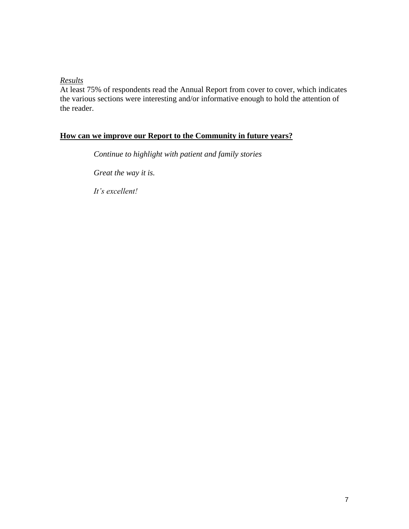## *Results*

At least 75% of respondents read the Annual Report from cover to cover, which indicates the various sections were interesting and/or informative enough to hold the attention of the reader.

## **How can we improve our Report to the Community in future years?**

*Continue to highlight with patient and family stories*

*Great the way it is.*

*It's excellent!*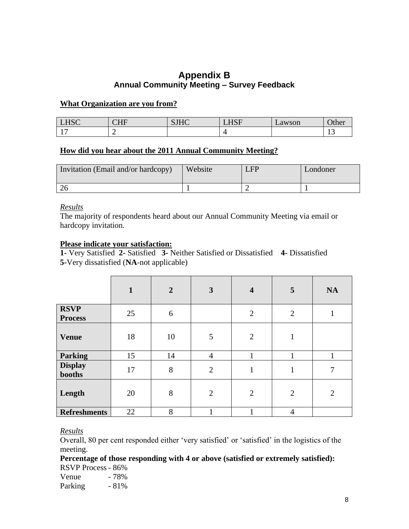## **Appendix B Annual Community Meeting – Survey Feedback**

#### **What Organization are you from?**

| <b>LHSC</b>    | $\alpha$ $\alpha$<br>-<br>ப்ப | $C^{\text{T}}$<br><b>DITIC</b> | <b>TICE</b><br>-<br><b>LID</b> | Lawson | $\sim$<br>Ouief |
|----------------|-------------------------------|--------------------------------|--------------------------------|--------|-----------------|
| 1 <sub>7</sub> | -                             |                                |                                |        |                 |

#### **How did you hear about the 2011 Annual Community Meeting?**

| Invitation (Email and/or hardcopy) | Website | $_{\rm{JFP}}$ | Londoner |
|------------------------------------|---------|---------------|----------|
|                                    |         |               |          |

#### *Results*

The majority of respondents heard about our Annual Community Meeting via email or hardcopy invitation.

#### **Please indicate your satisfaction:**

**1-** Very Satisfied **2-** Satisfied **3-** Neither Satisfied or Dissatisfied **4-** Dissatisfied **5-**Very dissatisfied (**NA**-not applicable)

|                               | $\mathbf{1}$ | $\overline{2}$ | $\mathbf{3}$   | $\overline{\mathbf{4}}$ | 5              | <b>NA</b>      |
|-------------------------------|--------------|----------------|----------------|-------------------------|----------------|----------------|
| <b>RSVP</b><br><b>Process</b> | 25           | 6              |                | $\overline{2}$          | $\overline{2}$ | л              |
| <b>Venue</b>                  | 18           | 10             | 5              | $\overline{2}$          | 1              |                |
| <b>Parking</b>                | 15           | 14             | $\overline{4}$ |                         |                | 1              |
| <b>Display</b><br>booths      | 17           | 8              | $\overline{2}$ | $\mathbf{1}$            | 1              | $\mathcal{I}$  |
| Length                        | 20           | 8              | $\overline{2}$ | $\overline{2}$          | $\overline{2}$ | $\overline{2}$ |
| <b>Refreshments</b>           | 22           | 8              |                |                         | $\overline{4}$ |                |

## *Results*

Overall, 80 per cent responded either "very satisfied" or "satisfied" in the logistics of the meeting.

**Percentage of those responding with 4 or above (satisfied or extremely satisfied):** RSVP Process - 86%

Venue  $-78%$ Parking  $-81\%$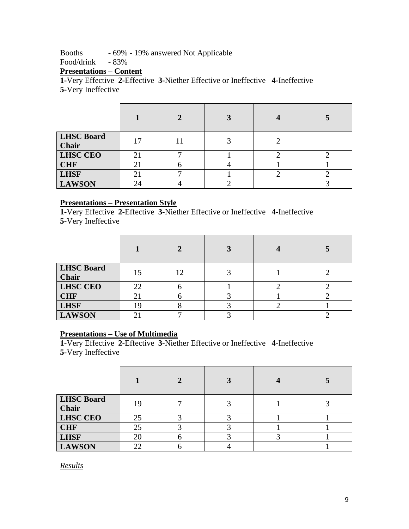Booths - 69% - 19% answered Not Applicable

Food/drink - 83%

# **Presentations – Content**

**1-**Very Effective **2-**Effective **3-**Niether Effective or Ineffective **4-**Ineffective **5-**Very Ineffective

|                            |    | 2 |  |
|----------------------------|----|---|--|
| <b>LHSC Board</b><br>Chair | 17 |   |  |
| <b>LHSC CEO</b>            | 21 |   |  |
| <b>CHF</b>                 | 21 |   |  |
| <b>LHSF</b>                | 21 |   |  |
| <b>LAWSON</b>              | 24 |   |  |

## **Presentations – Presentation Style**

**1-**Very Effective **2-**Effective **3-**Niether Effective or Ineffective **4-**Ineffective **5-**Very Ineffective

| <b>LHSC Board</b><br><b>Chair</b> | 15 |  |  |
|-----------------------------------|----|--|--|
| <b>LHSC CEO</b>                   | 22 |  |  |
| <b>CHF</b>                        | 21 |  |  |
| <b>LHSF</b>                       | 19 |  |  |
| <b>LAWSON</b>                     |    |  |  |

## **Presentations – Use of Multimedia**

**1-**Very Effective **2-**Effective **3-**Niether Effective or Ineffective **4-**Ineffective **5-**Very Ineffective

| <b>LHSC Board</b><br>Chair | 19 |  |  |
|----------------------------|----|--|--|
| <b>LHSC CEO</b>            | 25 |  |  |
| <b>CHF</b>                 | 25 |  |  |
| <b>LHSF</b>                | 20 |  |  |
| <b>LAWSON</b>              | 22 |  |  |

*Results*